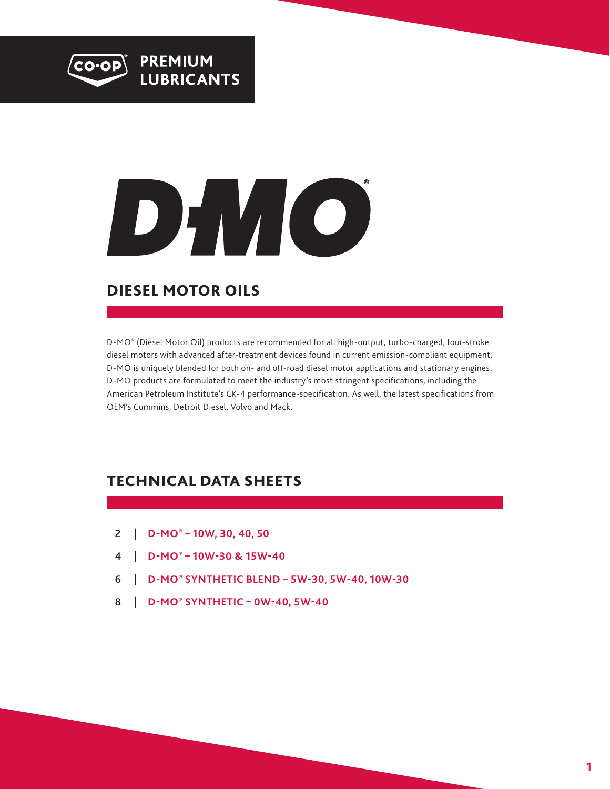



### DIESEL MOTOR OILS

D-MO® (Diesel Motor Oil) products are recommended for all high-output, turbo-charged, four-stroke diesel motors with advanced after-treatment devices found in current emission-compliant equipment. D-MO is uniquely blended for both on- and off-road diesel motor applications and stationary engines. D-MO products are formulated to meet the industry's most stringent specifications, including the American Petroleum Institute's CK-4 performance-specification. As well, the latest specifications from OEM's Cummins, Detroit Diesel, Volvo and Mack.

### TECHNICAL DATA SHEETS

- 2 | **[D-MO® 10W, 30, 40, 50](#page-1-0)**
- 4 | **[D-MO® 10W-30 & 15W-40](#page-3-0)**
- 6 | **[D-MO® SYNTHETIC BLEND 5W-30, 5W-40, 10W-30](#page-5-0)**
- 8 | **[D-MO® SYNTHETIC 0W-40, 5W-40](#page-7-0)**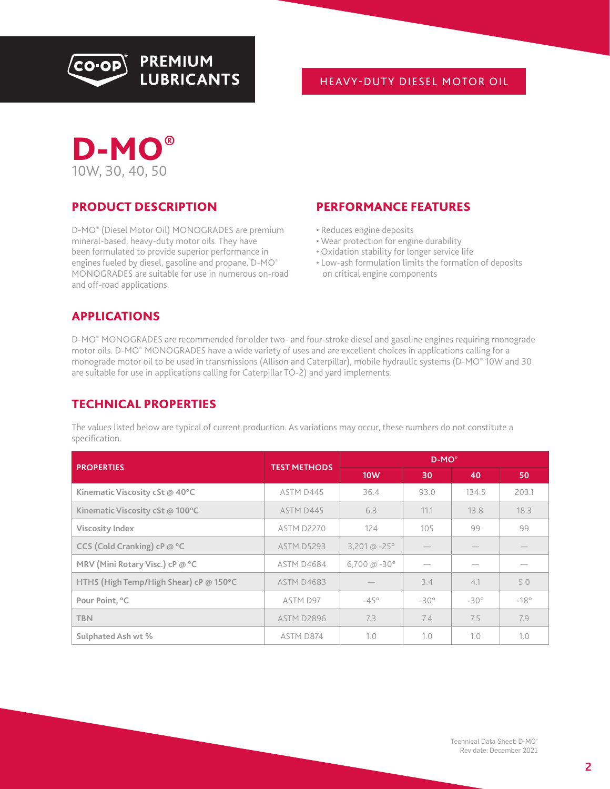<span id="page-1-0"></span>

#### HEAVY-DUTY DIESEL MOTOR OIL



#### PRODUCT DESCRIPTION

D-MO® (Diesel Motor Oil) MONOGRADES are premium mineral-based, heavy-duty motor oils. They have been formulated to provide superior performance in engines fueled by diesel, gasoline and propane. D-MO® MONOGRADES are suitable for use in numerous on-road and off-road applications.

#### PERFORMANCE FEATURES

- Reduces engine deposits
- Wear protection for engine durability
- Oxidation stability for longer service life
- Low-ash formulation limits the formation of deposits on critical engine components

#### APPLICATIONS

D-MO® MONOGRADES are recommended for older two- and four-stroke diesel and gasoline engines requiring monograde motor oils. D-MO® MONOGRADES have a wide variety of uses and are excellent choices in applications calling for a monograde motor oil to be used in transmissions (Allison and Caterpillar), mobile hydraulic systems (D-MO® 10W and 30 are suitable for use in applications calling for Caterpillar TO-2) and yard implements.

#### TECHNICAL PROPERTIES

|                                        |                     | $D-MO^{\circ}$            |             |             |             |
|----------------------------------------|---------------------|---------------------------|-------------|-------------|-------------|
| <b>PROPERTIES</b>                      | <b>TEST METHODS</b> | <b>10W</b>                | 30          | 40          | 50          |
| Kinematic Viscosity cSt @ 40°C         | ASTM D445           | 36.4                      | 93.0        | 134.5       | 203.1       |
| Kinematic Viscosity cSt @ 100°C        | ASTM D445           | 6.3                       | 11.1        | 13.8        | 18.3        |
| <b>Viscosity Index</b>                 | ASTM D2270          | 124                       | 105         | 99          | 99          |
| CCS (Cold Cranking) cP @ °C            | ASTM D5293          | 3,201 @ $-25^{\circ}$     |             |             |             |
| MRV (Mini Rotary Visc.) cP @ °C        | ASTM D4684          | $6,700 \text{ (a - 30°)}$ |             |             |             |
| HTHS (High Temp/High Shear) cP @ 150°C | <b>ASTM D4683</b>   |                           | 3.4         | 4.1         | 5.0         |
| Pour Point, °C                         | ASTM D97            | $-45^\circ$               | $-30^\circ$ | $-30^\circ$ | $-18^\circ$ |
| <b>TBN</b>                             | ASTM D2896          | 7.3                       | 7.4         | 7.5         | 7.9         |
| Sulphated Ash wt %                     | ASTM D874           | 1.0                       | 1.0         | 1.0         | 1.0         |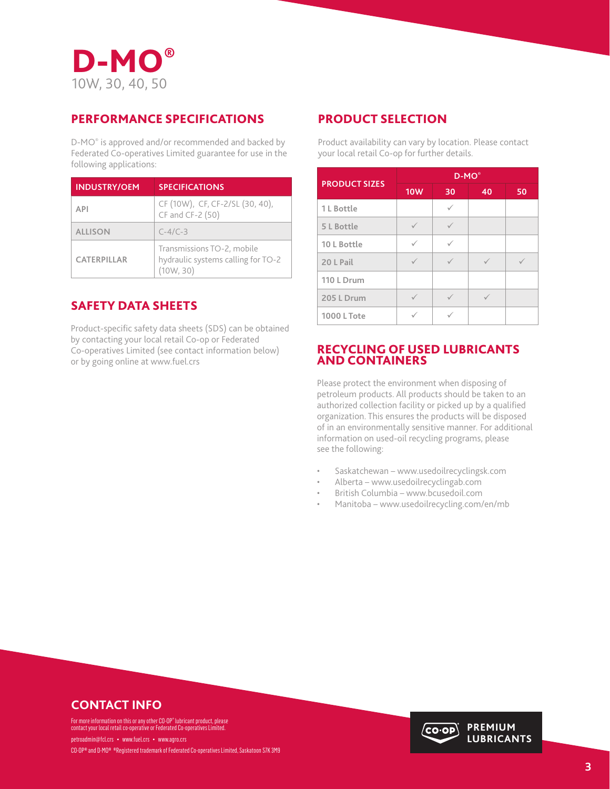

#### PERFORMANCE SPECIFICATIONS

D-MO® is approved and/or recommended and backed by Federated Co-operatives Limited guarantee for use in the following applications:

| <b>INDUSTRY/OEM</b> | <b>SPECIFICATIONS</b>                                                         |
|---------------------|-------------------------------------------------------------------------------|
| <b>API</b>          | CF (10W), CF, CF-2/SL (30, 40),<br>CF and CF-2 (50)                           |
| <b>ALLISON</b>      | $C-4/C-3$                                                                     |
| <b>CATERPILLAR</b>  | Transmissions TO-2, mobile<br>hydraulic systems calling for TO-2<br>(10W, 30) |

### SAFETY DATA SHEETS

Product-specific safety data sheets (SDS) can be obtained by contacting your local retail Co-op or Federated Co-operatives Limited (see contact information below) or by going online at www.fuel.crs

#### PRODUCT SELECTION

Product availability can vary by location. Please contact your local retail Co-op for further details.

| <b>PRODUCT SIZES</b> | $D-MO^{\circ}$ |    |    |    |
|----------------------|----------------|----|----|----|
|                      | <b>10W</b>     | 30 | 40 | 50 |
| 1 L Bottle           |                |    |    |    |
| 5 L Bottle           |                |    |    |    |
| 10 L Bottle          | ✓              |    |    |    |
| 20 L Pail            |                |    |    |    |
| 110 L Drum           |                |    |    |    |
| 205 L Drum           |                |    |    |    |
| <b>1000 L Tote</b>   |                |    |    |    |

#### RECYCLING OF USED LUBRICANTS AND CONTAINERS

Please protect the environment when disposing of petroleum products. All products should be taken to an authorized collection facility or picked up by a qualified organization. This ensures the products will be disposed of in an environmentally sensitive manner. For additional information on used-oil recycling programs, please see the following:

- Saskatchewan www.usedoilrecyclingsk.com
- Alberta www.usedoilrecyclingab.com
- British Columbia www.bcusedoil.com
- Manitoba www.usedoilrecycling.com/en/mb

### **CONTACT INFO**

For more information on this or any other CO-OP® lubricant product, please<br>contact your local retail co-operative or Federated Co-operatives Limited.

petroadmin@fcl.crs • www.fuel.crs • www.agro.crs CO-OP® and D-MO® ®Registered trademark of Federated Co-operatives Limited, Saskatoon S7K 3M9

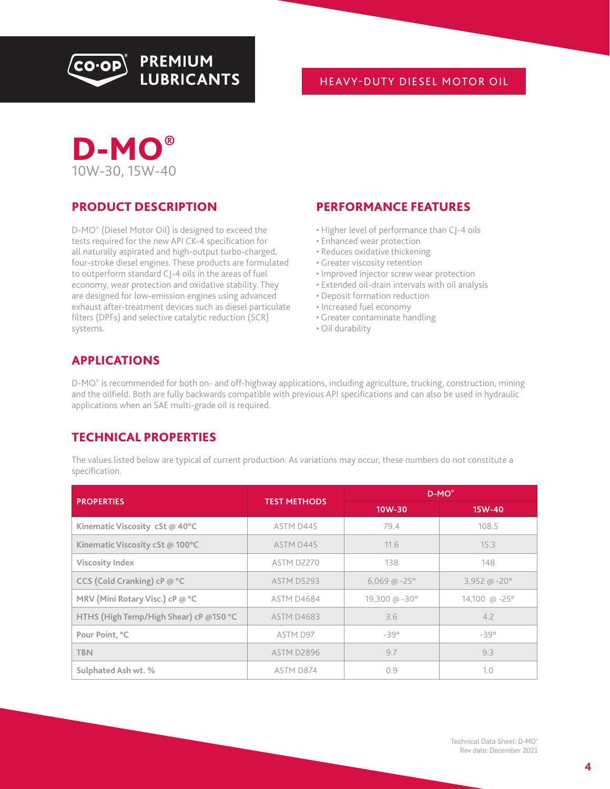<span id="page-3-0"></span>

#### HEAVY-DUTY DIESEL MOTOR OIL



#### PRODUCT DESCRIPTION

D-MO® (Diesel Motor Oil) is designed to exceed the tests required for the new API CK-4 specification for all naturally aspirated and high-output turbo-charged, four-stroke diesel engines. These products are formulated to outperform standard CJ-4 oils in the areas of fuel economy, wear protection and oxidative stability. They are designed for low-emission engines using advanced exhaust after-treatment devices such as diesel particulate filters (DPFs) and selective catalytic reduction (SCR) systems.

#### PERFORMANCE FEATURES

- Higher level of performance than CJ-4 oils
- Enhanced wear protection
- Reduces oxidative thickening
- Greater viscosity retention
- Improved injector screw wear protection
- Extended oil-drain intervals with oil analysis
- Deposit formation reduction
- Increased fuel economy
- Greater contaminate handling
- Oil durability

#### APPLICATIONS

D-MO® is recommended for both on- and off-highway applications, including agriculture, trucking, construction, mining and the oilfield. Both are fully backwards compatible with previous API specifications and can also be used in hydraulic applications when an SAE multi-grade oil is required.

#### TECHNICAL PROPERTIES

|                                        |                     | $D-MO^*$                             |                        |  |
|----------------------------------------|---------------------|--------------------------------------|------------------------|--|
| <b>PROPERTIES</b>                      | <b>TEST METHODS</b> | $10W-30$                             | 15W-40                 |  |
| Kinematic Viscosity cSt @ 40°C         | ASTM D445           | 79.4                                 | 108.5                  |  |
| Kinematic Viscosity cSt @ 100°C        | ASTM D445           | 11.6                                 | 15.3                   |  |
| <b>Viscosity Index</b>                 | ASTM D2270          | 138                                  | 148                    |  |
| CCS (Cold Cranking) cP @ °C            | ASTM D5293          | $6,069$ @ $-25^{\circ}$              | 3,952 @ $-20^\circ$    |  |
| MRV (Mini Rotary Visc.) cP @ °C        | ASTM D4684          | $19,300 \text{ }\omega - 30^{\circ}$ | 14,100 @ $-25^{\circ}$ |  |
| HTHS (High Temp/High Shear) cP @150 °C | <b>ASTM D4683</b>   | 3.6                                  | 4.2                    |  |
| Pour Point, °C                         | ASTM D97            | $-39^\circ$                          | $-39°$                 |  |
| <b>TBN</b>                             | ASTM D2896          | 9.7                                  | 9.3                    |  |
| Sulphated Ash wt. %                    | ASTM D874           | 0.9                                  | 1.0                    |  |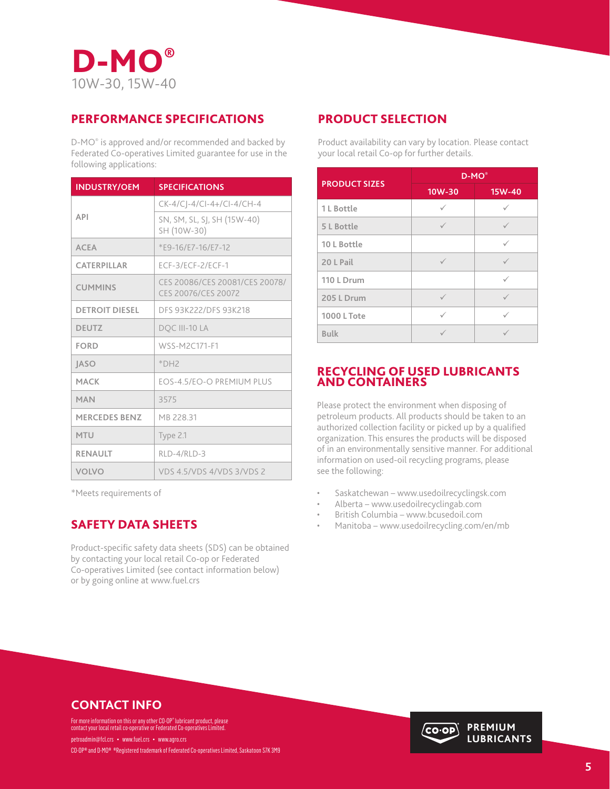

#### PERFORMANCE SPECIFICATIONS

D-MO® is approved and/or recommended and backed by Federated Co-operatives Limited guarantee for use in the following applications:

| <b>INDUSTRY/OEM</b>   | <b>SPECIFICATIONS</b>                                 |
|-----------------------|-------------------------------------------------------|
|                       | CK-4/CJ-4/CI-4+/CI-4/CH-4                             |
| <b>API</b>            | SN, SM, SL, SJ, SH (15W-40)<br>SH (10W-30)            |
| <b>ACEA</b>           | *E9-16/E7-16/E7-12                                    |
| CATERPILLAR           | ECF-3/ECF-2/ECF-1                                     |
| <b>CUMMINS</b>        | CES 20086/CES 20081/CES 20078/<br>CES 20076/CES 20072 |
| <b>DETROIT DIESEL</b> | DFS 93K222/DFS 93K218                                 |
| <b>DEUTZ</b>          | DOC III-10 LA                                         |
| <b>FORD</b>           | WSS-M2C171-F1                                         |
| <b>JASO</b>           | $*$ DH <sub>2</sub>                                   |
| <b>MACK</b>           | EOS-4.5/EO-O PREMIUM PLUS                             |
| <b>MAN</b>            | 3575                                                  |
| <b>MERCEDES BENZ</b>  | MB 228.31                                             |
| <b>MTU</b>            | Type 2.1                                              |
| <b>RENAULT</b>        | RLD-4/RLD-3                                           |
| <b>VOLVO</b>          | VDS 4.5/VDS 4/VDS 3/VDS 2                             |

\*Meets requirements of

Product-specific safety data sheets (SDS) can be obtained by contacting your local retail Co-op or Federated Co-operatives Limited (see contact information below) or by going online at www.fuel.crs

#### PRODUCT SELECTION

Product availability can vary by location. Please contact your local retail Co-op for further details.

| <b>PRODUCT SIZES</b> | $D-MO^*$   |              |  |
|----------------------|------------|--------------|--|
|                      | $10W-30$   | 15W-40       |  |
| 1 L Bottle           | ✓          |              |  |
| 5 L Bottle           |            |              |  |
| 10 L Bottle          |            | ✓            |  |
| 20 L Pail            |            |              |  |
| 110 L Drum           |            | $\checkmark$ |  |
| 205 L Drum           | $\sqrt{ }$ |              |  |
| <b>1000 L Tote</b>   |            |              |  |
| <b>Bulk</b>          |            |              |  |

#### RECYCLING OF USED LUBRICANTS AND CONTAINERS

Please protect the environment when disposing of petroleum products. All products should be taken to an authorized collection facility or picked up by a qualified organization. This ensures the products will be disposed of in an environmentally sensitive manner. For additional information on used-oil recycling programs, please see the following:

- Saskatchewan www.usedoilrecyclingsk.com
- Alberta www.usedoilrecyclingab.com
- British Columbia www.bcusedoil.com
- SAFETY DATA SHEETS  **Manitoba** www.usedoilrecycling.com/en/mb

### **CONTACT INFO**

For more information on this or any other CO-OP® lubricant product, please<br>contact your local retail co-operative or Federated Co-operatives Limited.

petroadmin@fcl.crs • www.fuel.crs • www.agro.crs CO-OP® and D-MO® ®Registered trademark of Federated Co-operatives Limited, Saskatoon S7K 3M9

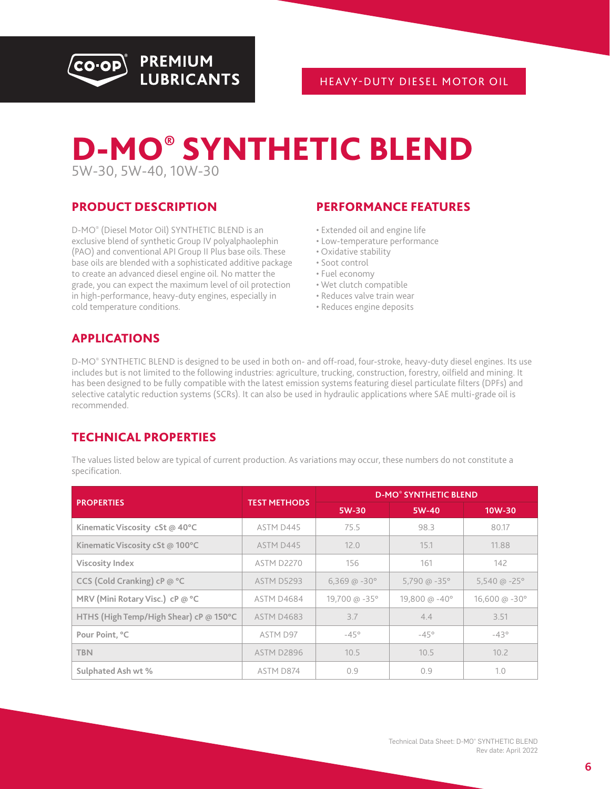<span id="page-5-0"></span>

# D-MO® SYNTHETIC BLEND 5W-30, 5W-40, 10W-30

#### PRODUCT DESCRIPTION

D-MO® (Diesel Motor Oil) SYNTHETIC BLEND is an exclusive blend of synthetic Group IV polyalphaolephin (PAO) and conventional API Group II Plus base oils. These base oils are blended with a sophisticated additive package to create an advanced diesel engine oil. No matter the grade, you can expect the maximum level of oil protection in high-performance, heavy-duty engines, especially in cold temperature conditions.

#### PERFORMANCE FEATURES

- Extended oil and engine life
- Low-temperature performance
- Oxidative stability
- Soot control
- Fuel economy
- Wet clutch compatible
- Reduces valve train wear
- Reduces engine deposits

### APPLICATIONS

D-MO® SYNTHETIC BLEND is designed to be used in both on- and off-road, four-stroke, heavy-duty diesel engines. Its use includes but is not limited to the following industries: agriculture, trucking, construction, forestry, oilfield and mining. It has been designed to be fully compatible with the latest emission systems featuring diesel particulate filters (DPFs) and selective catalytic reduction systems (SCRs). It can also be used in hydraulic applications where SAE multi-grade oil is recommended.

### TECHNICAL PROPERTIES

|                                        |                     | <b>D-MO® SYNTHETIC BLEND</b> |                       |                        |  |
|----------------------------------------|---------------------|------------------------------|-----------------------|------------------------|--|
| <b>PROPERTIES</b>                      | <b>TEST METHODS</b> | 5W-30                        | 5W-40                 | 10W-30                 |  |
| Kinematic Viscosity cSt @ 40°C         | ASTM D445           | 75.5                         | 98.3                  | 80.17                  |  |
| Kinematic Viscosity cSt @ 100°C        | <b>ASTM D445</b>    | 12.0                         | 15.1                  | 11.88                  |  |
| <b>Viscosity Index</b>                 | ASTM D2270          | 156                          | 161                   | 142                    |  |
| CCS (Cold Cranking) cP @ °C            | <b>ASTM D5293</b>   | $6,369$ @ $-30^{\circ}$      | 5,790 @ $-35^{\circ}$ | 5,540 @ $-25^{\circ}$  |  |
| MRV (Mini Rotary Visc.) cP @ °C        | ASTM D4684          | 19,700 @ -35°                | 19,800 @ -40°         | 16,600 @ $-30^{\circ}$ |  |
| HTHS (High Temp/High Shear) cP @ 150°C | <b>ASTM D4683</b>   | 3.7                          | 4.4                   | 3.51                   |  |
| Pour Point, °C                         | ASTM D97            | $-45^\circ$                  | $-45^\circ$           | $-43°$                 |  |
| <b>TBN</b>                             | ASTM D2896          | 10.5                         | 10.5                  | 10.2                   |  |
| Sulphated Ash wt %                     | ASTM D874           | 0.9                          | 0.9                   | 1.0                    |  |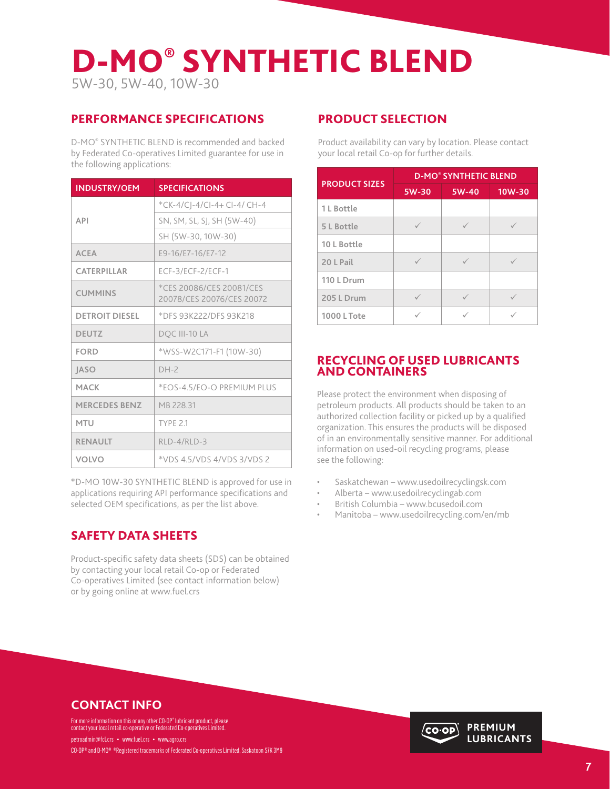# D-MO® SYNTHETIC BLEND 5W-30, 5W-40, 10W-30

#### PERFORMANCE SPECIFICATIONS

D-MO® SYNTHETIC BLEND is recommended and backed by Federated Co-operatives Limited guarantee for use in the following applications:

| <b>INDUSTRY/OEM</b>   | <b>SPECIFICATIONS</b>                                 |
|-----------------------|-------------------------------------------------------|
|                       | *CK-4/CJ-4/CI-4+ CI-4/ CH-4                           |
| <b>API</b>            | SN, SM, SL, SJ, SH (5W-40)                            |
|                       | SH (5W-30, 10W-30)                                    |
| <b>ACEA</b>           | E9-16/E7-16/E7-12                                     |
| CATERPILLAR           | ECF-3/ECF-2/ECF-1                                     |
| <b>CUMMINS</b>        | *CES 20086/CES 20081/CES<br>20078/CES 20076/CES 20072 |
| <b>DETROIT DIESEL</b> | *DFS 93K222/DFS 93K218                                |
| <b>DEUTZ</b>          | DQC III-10 LA                                         |
| <b>FORD</b>           | *WSS-W2C171-F1 (10W-30)                               |
| <b>JASO</b>           | $DH-2$                                                |
| MACK                  | *EOS-4.5/EO-O PREMIUM PLUS                            |
| <b>MERCEDES BENZ</b>  | MB 228.31                                             |
| <b>MTU</b>            | TYPF 2.1                                              |
| <b>RENAULT</b>        | $RLD-4/RLD-3$                                         |
| <b>VOLVO</b>          | *VDS 4.5/VDS 4/VDS 3/VDS 2                            |

\*D-MO 10W-30 SYNTHETIC BLEND is approved for use in applications requiring API performance specifications and selected OEM specifications, as per the list above.

#### SAFETY DATA SHEETS

Product-specific safety data sheets (SDS) can be obtained by contacting your local retail Co-op or Federated Co-operatives Limited (see contact information below) or by going online at www.fuel.crs

#### PRODUCT SELECTION

Product availability can vary by location. Please contact your local retail Co-op for further details.

| <b>PRODUCT SIZES</b> | <b>D-MO® SYNTHETIC BLEND</b> |       |        |  |
|----------------------|------------------------------|-------|--------|--|
|                      | 5W-30                        | 5W-40 | 10W-30 |  |
| 1 L Bottle           |                              |       |        |  |
| 5 L Bottle           |                              |       |        |  |
| 10 L Bottle          |                              |       |        |  |
| 20 L Pail            |                              |       |        |  |
| 110 L Drum           |                              |       |        |  |
| 205 L Drum           |                              |       |        |  |
| <b>1000 L Tote</b>   |                              |       |        |  |

#### RECYCLING OF USED LUBRICANTS AND CONTAINERS

Please protect the environment when disposing of petroleum products. All products should be taken to an authorized collection facility or picked up by a qualified organization. This ensures the products will be disposed of in an environmentally sensitive manner. For additional information on used-oil recycling programs, please see the following:

- Saskatchewan www.usedoilrecyclingsk.com
- Alberta www.usedoilrecyclingab.com
- British Columbia www.bcusedoil.com
- Manitoba www.usedoilrecycling.com/en/mb

### **CONTACT INFO**

For more information on this or any other CO-OP® lubricant product, please<br>contact your local retail co-operative or Federated Co-operatives Limited.

petroadmin@fcl.crs • www.fuel.crs • www.agro.crs CO-OP® and D-MO® ®Registered trademarks of Federated Co-operatives Limited, Saskatoon S7K 3M9

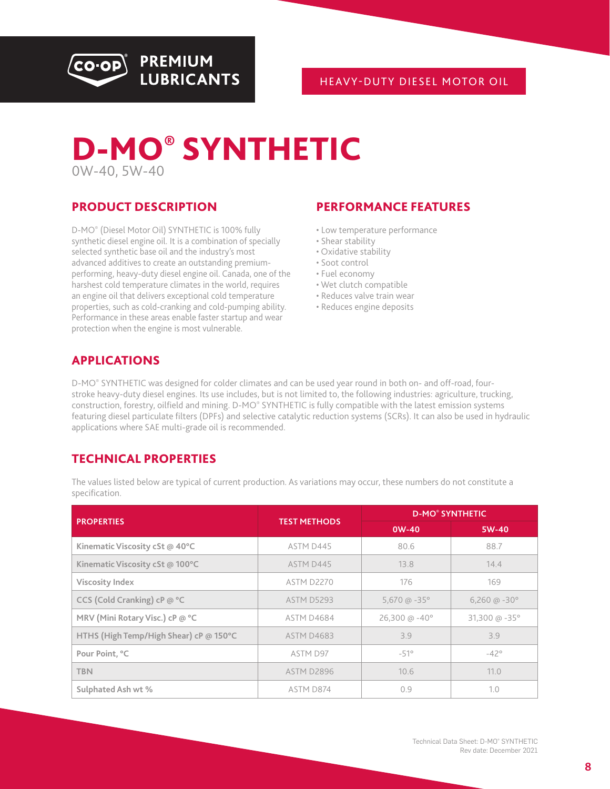<span id="page-7-0"></span>

#### HEAVY-DUTY DIESEL MOTOR OIL



#### PRODUCT DESCRIPTION

D-MO® (Diesel Motor Oil) SYNTHETIC is 100% fully synthetic diesel engine oil. It is a combination of specially selected synthetic base oil and the industry's most advanced additives to create an outstanding premiumperforming, heavy-duty diesel engine oil. Canada, one of the harshest cold temperature climates in the world, requires an engine oil that delivers exceptional cold temperature properties, such as cold-cranking and cold-pumping ability. Performance in these areas enable faster startup and wear protection when the engine is most vulnerable.

**PREMIUM** 

**LUBRICANTS** 

#### PERFORMANCE FEATURES

- Low temperature performance
- Shear stability
- Oxidative stability
- Soot control
- Fuel economy
- Wet clutch compatible
- Reduces valve train wear
- Reduces engine deposits

#### APPLICATIONS

D-MO® SYNTHETIC was designed for colder climates and can be used year round in both on- and off-road, fourstroke heavy-duty diesel engines. Its use includes, but is not limited to, the following industries: agriculture, trucking, construction, forestry, oilfield and mining. D-MO® SYNTHETIC is fully compatible with the latest emission systems featuring diesel particulate filters (DPFs) and selective catalytic reduction systems (SCRs). It can also be used in hydraulic applications where SAE multi-grade oil is recommended.

#### TECHNICAL PROPERTIES

| <b>PROPERTIES</b>                      | <b>TEST METHODS</b> | <b>D-MO® SYNTHETIC</b> |                        |  |
|----------------------------------------|---------------------|------------------------|------------------------|--|
|                                        |                     | $0W-40$                | 5W-40                  |  |
| Kinematic Viscosity cSt @ 40°C         | ASTM D445           | 80.6                   | 88.7                   |  |
| Kinematic Viscosity cSt @ 100°C        | ASTM D445           | 13.8                   | 14.4                   |  |
| <b>Viscosity Index</b>                 | ASTM D2270          | 176                    | 169                    |  |
| CCS (Cold Cranking) cP @ °C            | <b>ASTM D5293</b>   | 5,670 @ $-35^{\circ}$  | 6,260 @ $-30^{\circ}$  |  |
| MRV (Mini Rotary Visc.) cP @ °C        | ASTM D4684          | 26,300 @ $-40^{\circ}$ | 31,300 @ $-35^{\circ}$ |  |
| HTHS (High Temp/High Shear) cP @ 150°C | ASTM D4683          | 3.9                    | 3.9                    |  |
| Pour Point, °C                         | ASTM D97            | $-51^\circ$            | $-42^\circ$            |  |
| <b>TBN</b>                             | ASTM D2896          | 10.6                   | 11.0                   |  |
| Sulphated Ash wt %                     | ASTM D874           | 0.9                    | 1.0                    |  |